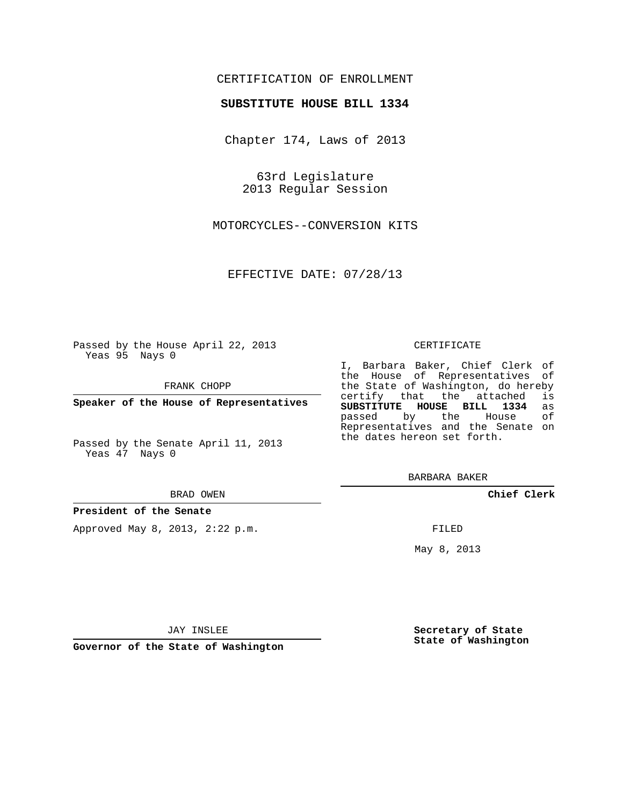### CERTIFICATION OF ENROLLMENT

### **SUBSTITUTE HOUSE BILL 1334**

Chapter 174, Laws of 2013

63rd Legislature 2013 Regular Session

MOTORCYCLES--CONVERSION KITS

EFFECTIVE DATE: 07/28/13

Passed by the House April 22, 2013 Yeas 95 Nays 0

FRANK CHOPP

**Speaker of the House of Representatives**

Passed by the Senate April 11, 2013 Yeas 47 Nays 0

#### BRAD OWEN

#### **President of the Senate**

Approved May 8, 2013, 2:22 p.m.

#### CERTIFICATE

I, Barbara Baker, Chief Clerk of the House of Representatives of the State of Washington, do hereby<br>certify that the attached is certify that the attached **SUBSTITUTE HOUSE BILL 1334** as passed by the Representatives and the Senate on the dates hereon set forth.

BARBARA BAKER

**Chief Clerk**

FILED

May 8, 2013

**Secretary of State State of Washington**

JAY INSLEE

**Governor of the State of Washington**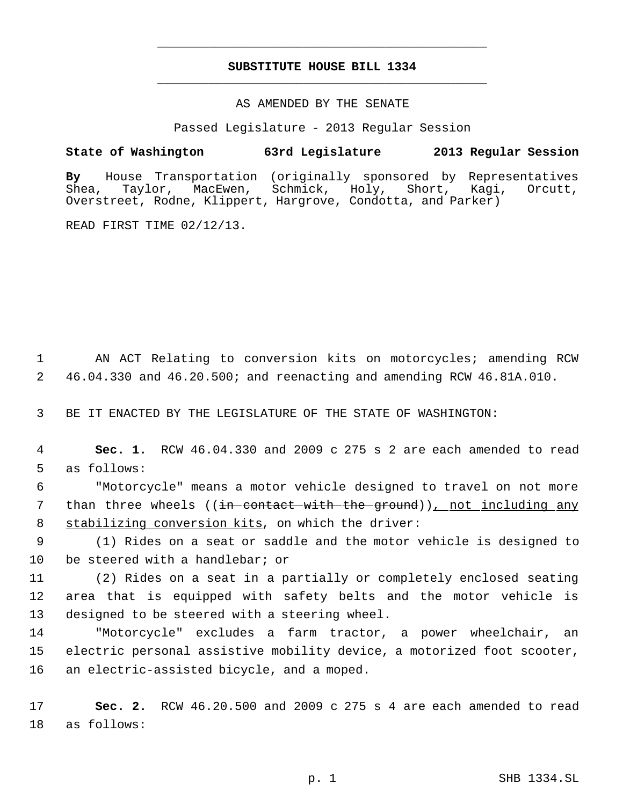# **SUBSTITUTE HOUSE BILL 1334** \_\_\_\_\_\_\_\_\_\_\_\_\_\_\_\_\_\_\_\_\_\_\_\_\_\_\_\_\_\_\_\_\_\_\_\_\_\_\_\_\_\_\_\_\_

\_\_\_\_\_\_\_\_\_\_\_\_\_\_\_\_\_\_\_\_\_\_\_\_\_\_\_\_\_\_\_\_\_\_\_\_\_\_\_\_\_\_\_\_\_

### AS AMENDED BY THE SENATE

Passed Legislature - 2013 Regular Session

## **State of Washington 63rd Legislature 2013 Regular Session**

**By** House Transportation (originally sponsored by Representatives Shea, Taylor, MacEwen, Schmick, Holy, Short, Kagi, Orcutt, Overstreet, Rodne, Klippert, Hargrove, Condotta, and Parker)

READ FIRST TIME 02/12/13.

 1 AN ACT Relating to conversion kits on motorcycles; amending RCW 2 46.04.330 and 46.20.500; and reenacting and amending RCW 46.81A.010.

3 BE IT ENACTED BY THE LEGISLATURE OF THE STATE OF WASHINGTON:

 4 **Sec. 1.** RCW 46.04.330 and 2009 c 275 s 2 are each amended to read 5 as follows:

 6 "Motorcycle" means a motor vehicle designed to travel on not more 7 than three wheels ((<del>in contact with the ground</del>)), not including any 8 stabilizing conversion kits, on which the driver:

 9 (1) Rides on a seat or saddle and the motor vehicle is designed to 10 be steered with a handlebar; or

11 (2) Rides on a seat in a partially or completely enclosed seating 12 area that is equipped with safety belts and the motor vehicle is 13 designed to be steered with a steering wheel.

14 "Motorcycle" excludes a farm tractor, a power wheelchair, an 15 electric personal assistive mobility device, a motorized foot scooter, 16 an electric-assisted bicycle, and a moped.

17 **Sec. 2.** RCW 46.20.500 and 2009 c 275 s 4 are each amended to read 18 as follows: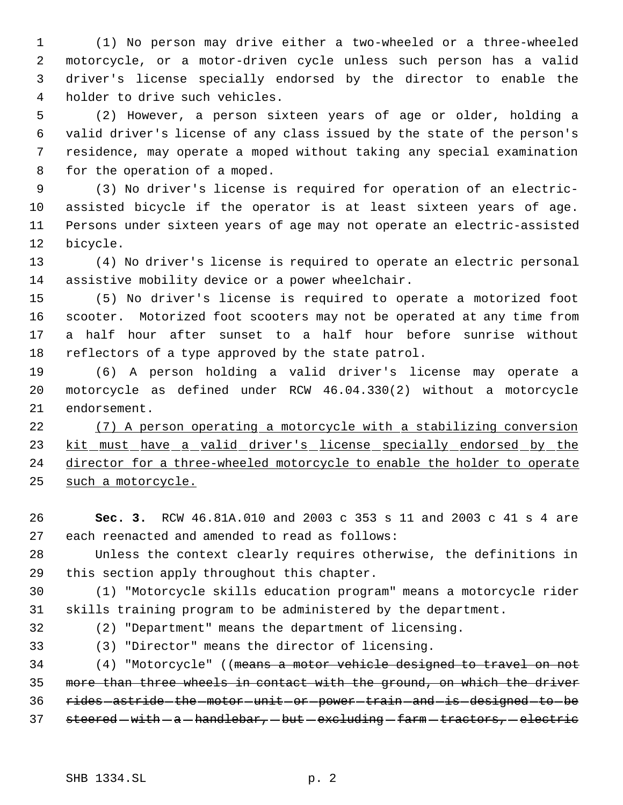(1) No person may drive either a two-wheeled or a three-wheeled motorcycle, or a motor-driven cycle unless such person has a valid driver's license specially endorsed by the director to enable the holder to drive such vehicles.

 (2) However, a person sixteen years of age or older, holding a valid driver's license of any class issued by the state of the person's residence, may operate a moped without taking any special examination for the operation of a moped.

 (3) No driver's license is required for operation of an electric- assisted bicycle if the operator is at least sixteen years of age. Persons under sixteen years of age may not operate an electric-assisted bicycle.

 (4) No driver's license is required to operate an electric personal assistive mobility device or a power wheelchair.

 (5) No driver's license is required to operate a motorized foot scooter. Motorized foot scooters may not be operated at any time from a half hour after sunset to a half hour before sunrise without reflectors of a type approved by the state patrol.

 (6) A person holding a valid driver's license may operate a motorcycle as defined under RCW 46.04.330(2) without a motorcycle endorsement.

 (7) A person operating a motorcycle with a stabilizing conversion 23 kit must have a valid driver's license specially endorsed by the director for a three-wheeled motorcycle to enable the holder to operate such a motorcycle.

 **Sec. 3.** RCW 46.81A.010 and 2003 c 353 s 11 and 2003 c 41 s 4 are each reenacted and amended to read as follows:

 Unless the context clearly requires otherwise, the definitions in this section apply throughout this chapter.

 (1) "Motorcycle skills education program" means a motorcycle rider skills training program to be administered by the department.

(2) "Department" means the department of licensing.

(3) "Director" means the director of licensing.

 (4) "Motorcycle" ((means a motor vehicle designed to travel on not more than three wheels in contact with the ground, on which the driver 36 rides astride the motor unit or power train and is designed to be 37 steered - with - a - handlebar, - but - excluding - farm - tractors, - electric